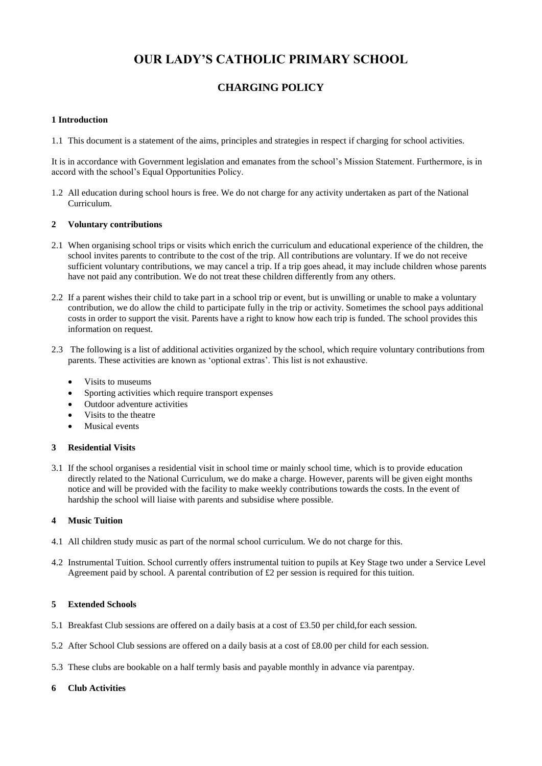# **OUR LADY'S CATHOLIC PRIMARY SCHOOL**

## **CHARGING POLICY**

#### **1 Introduction**

1.1 This document is a statement of the aims, principles and strategies in respect if charging for school activities.

It is in accordance with Government legislation and emanates from the school's Mission Statement. Furthermore, is in accord with the school's Equal Opportunities Policy.

1.2 All education during school hours is free. We do not charge for any activity undertaken as part of the National Curriculum.

#### **2 Voluntary contributions**

- 2.1 When organising school trips or visits which enrich the curriculum and educational experience of the children, the school invites parents to contribute to the cost of the trip. All contributions are voluntary. If we do not receive sufficient voluntary contributions, we may cancel a trip. If a trip goes ahead, it may include children whose parents have not paid any contribution. We do not treat these children differently from any others.
- 2.2 If a parent wishes their child to take part in a school trip or event, but is unwilling or unable to make a voluntary contribution, we do allow the child to participate fully in the trip or activity. Sometimes the school pays additional costs in order to support the visit. Parents have a right to know how each trip is funded. The school provides this information on request.
- 2.3 The following is a list of additional activities organized by the school, which require voluntary contributions from parents. These activities are known as 'optional extras'. This list is not exhaustive.
	- Visits to museums
	- Sporting activities which require transport expenses
	- Outdoor adventure activities
	- Visits to the theatre
	- Musical events

#### **3 Residential Visits**

3.1 If the school organises a residential visit in school time or mainly school time, which is to provide education directly related to the National Curriculum, we do make a charge. However, parents will be given eight months notice and will be provided with the facility to make weekly contributions towards the costs. In the event of hardship the school will liaise with parents and subsidise where possible.

#### **4 Music Tuition**

- 4.1 All children study music as part of the normal school curriculum. We do not charge for this.
- 4.2 Instrumental Tuition. School currently offers instrumental tuition to pupils at Key Stage two under a Service Level Agreement paid by school. A parental contribution of  $\pounds 2$  per session is required for this tuition.

#### **5 Extended Schools**

- 5.1 Breakfast Club sessions are offered on a daily basis at a cost of £3.50 per child,for each session.
- 5.2 After School Club sessions are offered on a daily basis at a cost of £8.00 per child for each session.
- 5.3 These clubs are bookable on a half termly basis and payable monthly in advance via parentpay.

### **6 Club Activities**